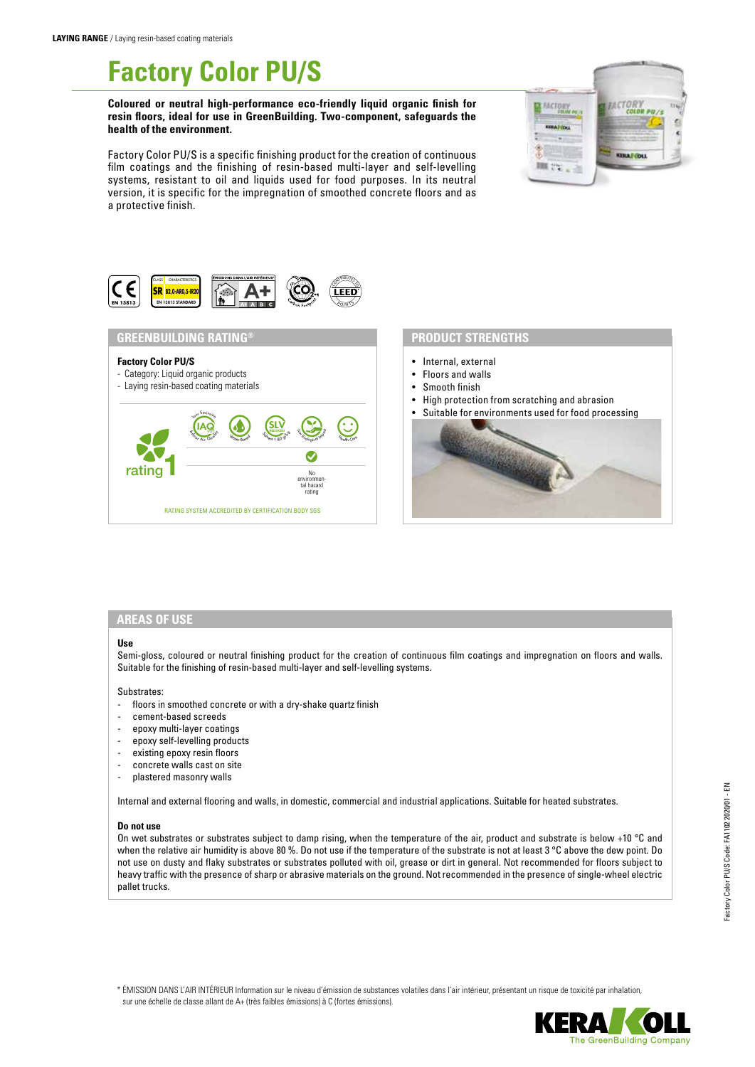# **Factory Color PU/S**

**Coloured or neutral high-performance eco-friendly liquid organic finish for resin floors, ideal for use in GreenBuilding. Two-component, safeguards the health of the environment.**

Factory Color PU/S is a specific finishing product for the creation of continuous film coatings and the finishing of resin-based multi-layer and self-levelling systems, resistant to oil and liquids used for food purposes. In its neutral version, it is specific for the impregnation of smoothed concrete floors and as a protective finish.





### **GREENBUILDING RATING®**

#### **Factory Color PU/S**

- Category: Liquid organic products

# - Laying resin-based coating materials



#### **PRODUCT STRENGTHS**

- Internal, external
- Floors and walls
- Smooth finish
- High protection from scratching and abrasion
- Suitable for environments used for food processing



#### **AREAS OF USE**

## **Use**

Semi-gloss, coloured or neutral finishing product for the creation of continuous film coatings and impregnation on floors and walls. Suitable for the finishing of resin-based multi-layer and self-levelling systems.

Substrates:

- floors in smoothed concrete or with a dry-shake quartz finish
- cement-based screeds
- epoxy multi-layer coatings
- epoxy self-levelling products
- existing epoxy resin floors
- concrete walls cast on site
- plastered masonry walls

Internal and external flooring and walls, in domestic, commercial and industrial applications. Suitable for heated substrates.

#### **Do not use**

On wet substrates or substrates subject to damp rising, when the temperature of the air, product and substrate is below +10 °C and when the relative air humidity is above 80 %. Do not use if the temperature of the substrate is not at least 3 °C above the dew point. Do not use on dusty and flaky substrates or substrates polluted with oil, grease or dirt in general. Not recommended for floors subject to heavy traffic with the presence of sharp or abrasive materials on the ground. Not recommended in the presence of single-wheel electric pallet trucks.

\* ÉMISSION DANS L'AIR INTÉRIEUR Information sur le niveau d'émission de substances volatiles dans l'air intérieur, présentant un risque de toxicité par inhalation, sur une échelle de classe allant de A+ (très faibles émissions) à C (fortes émissions).

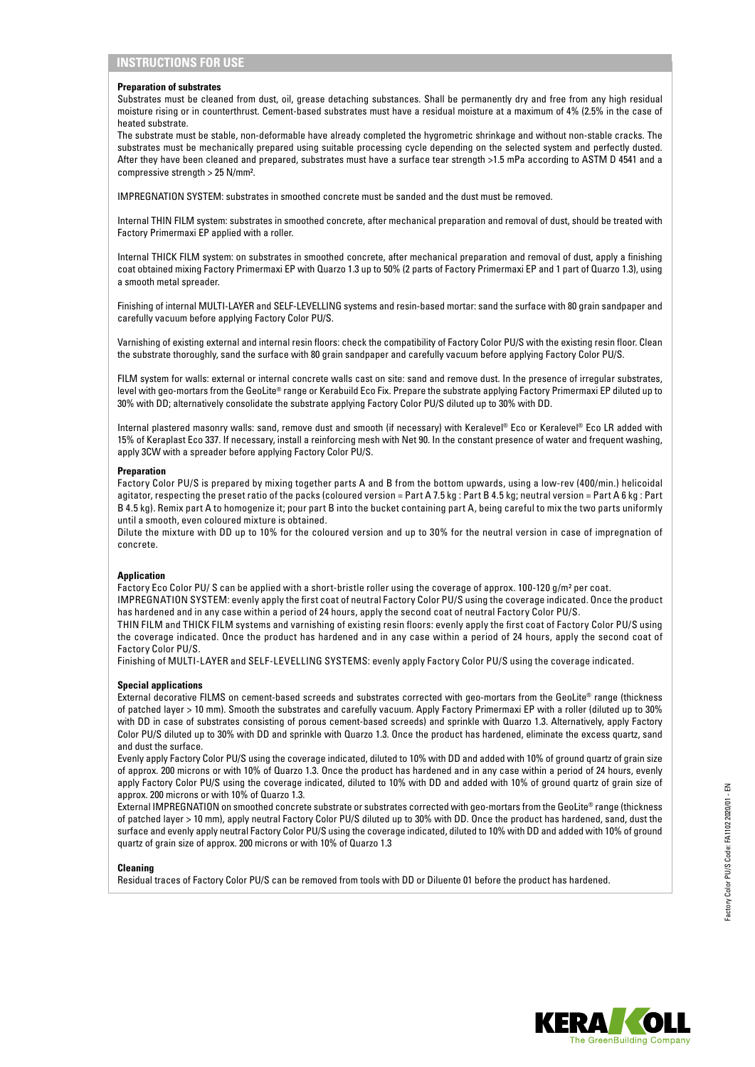#### **Preparation of substrates**

Substrates must be cleaned from dust, oil, grease detaching substances. Shall be permanently dry and free from any high residual moisture rising or in counterthrust. Cement-based substrates must have a residual moisture at a maximum of 4% (2.5% in the case of heated substrate.

The substrate must be stable, non-deformable have already completed the hygrometric shrinkage and without non-stable cracks. The substrates must be mechanically prepared using suitable processing cycle depending on the selected system and perfectly dusted. After they have been cleaned and prepared, substrates must have a surface tear strength >1.5 mPa according to ASTM D 4541 and a compressive strength > 25 N/mm².

IMPREGNATION SYSTEM: substrates in smoothed concrete must be sanded and the dust must be removed.

Internal THIN FILM system: substrates in smoothed concrete, after mechanical preparation and removal of dust, should be treated with Factory Primermaxi EP applied with a roller.

Internal THICK FILM system: on substrates in smoothed concrete, after mechanical preparation and removal of dust, apply a finishing coat obtained mixing Factory Primermaxi EP with Quarzo 1.3 up to 50% (2 parts of Factory Primermaxi EP and 1 part of Quarzo 1.3), using a smooth metal spreader.

Finishing of internal MULTI-LAYER and SELF-LEVELLING systems and resin-based mortar: sand the surface with 80 grain sandpaper and carefully vacuum before applying Factory Color PU/S.

Varnishing of existing external and internal resin floors: check the compatibility of Factory Color PU/S with the existing resin floor. Clean the substrate thoroughly, sand the surface with 80 grain sandpaper and carefully vacuum before applying Factory Color PU/S.

FILM system for walls: external or internal concrete walls cast on site: sand and remove dust. In the presence of irregular substrates, level with geo-mortars from the GeoLite® range or Kerabuild Eco Fix. Prepare the substrate applying Factory Primermaxi EP diluted up to 30% with DD; alternatively consolidate the substrate applying Factory Color PU/S diluted up to 30% with DD.

Internal plastered masonry walls: sand, remove dust and smooth (if necessary) with Keralevel® Eco or Keralevel® Eco LR added with 15% of Keraplast Eco 337. If necessary, install a reinforcing mesh with Net 90. In the constant presence of water and frequent washing, apply 3CW with a spreader before applying Factory Color PU/S.

#### **Preparation**

Factory Color PU/S is prepared by mixing together parts A and B from the bottom upwards, using a low-rev (400/min.) helicoidal agitator, respecting the preset ratio of the packs (coloured version = Part A 7.5 kg : Part B 4.5 kg; neutral version = Part A 6 kg : Part B 4.5 kg). Remix part A to homogenize it; pour part B into the bucket containing part A, being careful to mix the two parts uniformly until a smooth, even coloured mixture is obtained.

Dilute the mixture with DD up to 10% for the coloured version and up to 30% for the neutral version in case of impregnation of concrete.

#### **Application**

Factory Eco Color PU/ S can be applied with a short-bristle roller using the coverage of approx. 100-120 g/m² per coat. IMPREGNATION SYSTEM: evenly apply the first coat of neutral Factory Color PU/S using the coverage indicated. Once the product

has hardened and in any case within a period of 24 hours, apply the second coat of neutral Factory Color PU/S. THIN FILM and THICK FILM systems and varnishing of existing resin floors: evenly apply the first coat of Factory Color PU/S using the coverage indicated. Once the product has hardened and in any case within a period of 24 hours, apply the second coat of Factory Color PU/S.

Finishing of MULTI-LAYER and SELF-LEVELLING SYSTEMS: evenly apply Factory Color PU/S using the coverage indicated.

#### **Special applications**

External decorative FILMS on cement-based screeds and substrates corrected with geo-mortars from the GeoLite® range (thickness of patched layer > 10 mm). Smooth the substrates and carefully vacuum. Apply Factory Primermaxi EP with a roller (diluted up to 30% with DD in case of substrates consisting of porous cement-based screeds) and sprinkle with Quarzo 1.3. Alternatively, apply Factory Color PU/S diluted up to 30% with DD and sprinkle with Quarzo 1.3. Once the product has hardened, eliminate the excess quartz, sand and dust the surface.

Evenly apply Factory Color PU/S using the coverage indicated, diluted to 10% with DD and added with 10% of ground quartz of grain size of approx. 200 microns or with 10% of Quarzo 1.3. Once the product has hardened and in any case within a period of 24 hours, evenly apply Factory Color PU/S using the coverage indicated, diluted to 10% with DD and added with 10% of ground quartz of grain size of approx. 200 microns or with 10% of Quarzo 1.3.

External IMPREGNATION on smoothed concrete substrate or substrates corrected with geo-mortars from the GeoLite® range (thickness of patched layer > 10 mm), apply neutral Factory Color PU/S diluted up to 30% with DD. Once the product has hardened, sand, dust the surface and evenly apply neutral Factory Color PU/S using the coverage indicated, diluted to 10% with DD and added with 10% of ground quartz of grain size of approx. 200 microns or with 10% of Quarzo 1.3

#### **Cleaning**

Residual traces of Factory Color PU/S can be removed from tools with DD or Diluente 01 before the product has hardened.

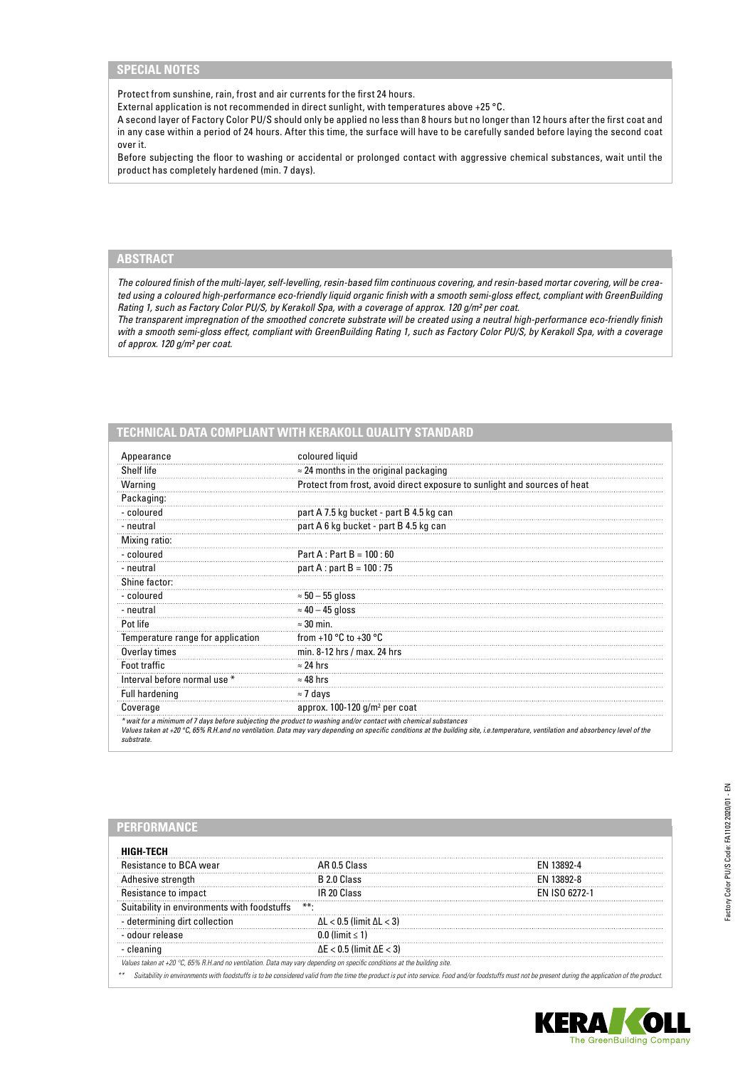# **SPECIAL NOTES**

Protect from sunshine, rain, frost and air currents for the first 24 hours.

External application is not recommended in direct sunlight, with temperatures above +25 °C.

A second layer of Factory Color PU/S should only be applied no less than 8 hours but no longer than 12 hours after the first coat and in any case within a period of 24 hours. After this time, the surface will have to be carefully sanded before laying the second coat over it.

Before subjecting the floor to washing or accidental or prolonged contact with aggressive chemical substances, wait until the product has completely hardened (min. 7 days).

## **ABSTRACT**

*The coloured finish of the multi-layer, self-levelling, resin-based film continuous covering, and resin-based mortar covering, will be created using a coloured high-performance eco-friendly liquid organic finish with a smooth semi-gloss effect, compliant with GreenBuilding Rating 1, such as Factory Color PU/S, by Kerakoll Spa, with a coverage of approx. 120 g/m² per coat.*

*The transparent impregnation of the smoothed concrete substrate will be created using a neutral high-performance eco-friendly finish with a smooth semi-gloss effect, compliant with GreenBuilding Rating 1, such as Factory Color PU/S, by Kerakoll Spa, with a coverage of approx. 120 g/m² per coat.*

# **TECHNICAL DATA COMPLIANT WITH KERAKOLL QUALITY STANDARD**

| Appearance                        | coloured liquid                                                                                                                                                                                                                                                                                      |  |  |
|-----------------------------------|------------------------------------------------------------------------------------------------------------------------------------------------------------------------------------------------------------------------------------------------------------------------------------------------------|--|--|
| Shelf life                        | $\approx$ 24 months in the original packaging                                                                                                                                                                                                                                                        |  |  |
| Warning                           | Protect from frost, avoid direct exposure to sunlight and sources of heat                                                                                                                                                                                                                            |  |  |
| Packaging:                        |                                                                                                                                                                                                                                                                                                      |  |  |
| - coloured                        | part A 7.5 kg bucket - part B 4.5 kg can                                                                                                                                                                                                                                                             |  |  |
| - neutral                         | part A 6 kg bucket - part B 4.5 kg can                                                                                                                                                                                                                                                               |  |  |
| Mixing ratio:                     |                                                                                                                                                                                                                                                                                                      |  |  |
| - coloured                        | Part A : Part B = $100:60$                                                                                                                                                                                                                                                                           |  |  |
| - neutral                         | part A : part B = $100:75$                                                                                                                                                                                                                                                                           |  |  |
| Shine factor:                     |                                                                                                                                                                                                                                                                                                      |  |  |
| - coloured                        | $\approx$ 50 - 55 gloss                                                                                                                                                                                                                                                                              |  |  |
| - neutral                         | $\approx$ 40 – 45 gloss                                                                                                                                                                                                                                                                              |  |  |
| Pot life                          | $\approx$ 30 min.                                                                                                                                                                                                                                                                                    |  |  |
| Temperature range for application | from +10 $\degree$ C to +30 $\degree$ C                                                                                                                                                                                                                                                              |  |  |
| Overlay times                     | min. 8-12 hrs / max. 24 hrs                                                                                                                                                                                                                                                                          |  |  |
| Foot traffic                      | $\approx$ 24 hrs                                                                                                                                                                                                                                                                                     |  |  |
| Interval before normal use *      | $\approx$ 48 hrs                                                                                                                                                                                                                                                                                     |  |  |
| Full hardening                    | $\approx$ 7 days                                                                                                                                                                                                                                                                                     |  |  |
| Coverage                          | approx. $100-120$ g/m <sup>2</sup> per coat                                                                                                                                                                                                                                                          |  |  |
| substrate.                        | * wait for a minimum of 7 days before subjecting the product to washing and/or contact with chemical substances<br>Values taken at +20 °C, 65% R.H.and no ventilation. Data may vary depending on specific conditions at the building site, i.e.temperature, ventilation and absorbency level of the |  |  |

# **PERFORMANCE**

| Resistance to BCA wear       | AR 0.5 Class                             |                   |
|------------------------------|------------------------------------------|-------------------|
| ıesive strenath              | R 2.0 Class                              | N 13892-8         |
| tance to impact:             | IR 20 Class                              | <b>ISO 6272-1</b> |
| ability in environments with | **.                                      |                   |
| letermining dirt collection  | $\Delta L < 0.5$ (limit $\Delta L < 3$ ) |                   |
| nur release                  | $\dim$ it < 1)                           |                   |
|                              | $\Delta E < 0.5$ (limit $\Delta E < 3$ ) |                   |

*Values taken at +20 °C, 65% R.H.and no ventilation. Data may vary depending on specific conditions at the building site.*

*\*\* Suitability in environments with foodstuffs is to be considered valid from the time the product is put into service. Food and/or foodstuffs must not be present during the application of the product.*